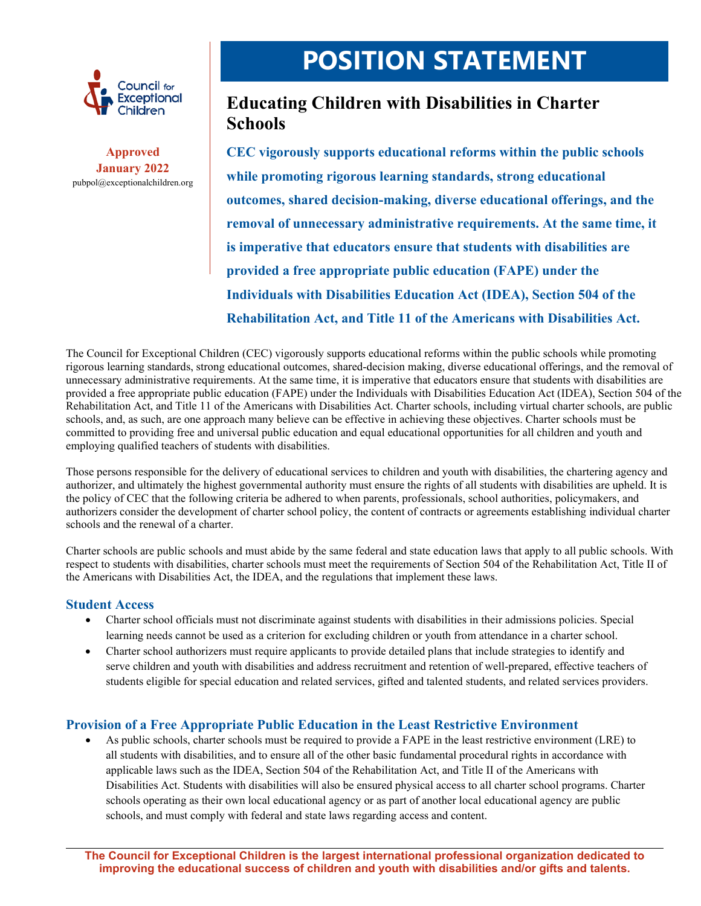

**Approved January 2022**  pubpol@exceptionalchildren.org

# **POSITION STATEMENT**

# **Educating Children with Disabilities in Charter Schools**

**CEC vigorously supports educational reforms within the public schools while promoting rigorous learning standards, strong educational outcomes, shared decision-making, diverse educational offerings, and the removal of unnecessary administrative requirements. At the same time, it is imperative that educators ensure that students with disabilities are provided a free appropriate public education (FAPE) under the Individuals with Disabilities Education Act (IDEA), Section 504 of the Rehabilitation Act, and Title 11 of the Americans with Disabilities Act.** 

The Council for Exceptional Children (CEC) vigorously supports educational reforms within the public schools while promoting rigorous learning standards, strong educational outcomes, shared-decision making, diverse educational offerings, and the removal of unnecessary administrative requirements. At the same time, it is imperative that educators ensure that students with disabilities are provided a free appropriate public education (FAPE) under the Individuals with Disabilities Education Act (IDEA), Section 504 of the Rehabilitation Act, and Title 11 of the Americans with Disabilities Act. Charter schools, including virtual charter schools, are public schools, and, as such, are one approach many believe can be effective in achieving these objectives. Charter schools must be committed to providing free and universal public education and equal educational opportunities for all children and youth and employing qualified teachers of students with disabilities.

Those persons responsible for the delivery of educational services to children and youth with disabilities, the chartering agency and authorizer, and ultimately the highest governmental authority must ensure the rights of all students with disabilities are upheld. It is the policy of CEC that the following criteria be adhered to when parents, professionals, school authorities, policymakers, and authorizers consider the development of charter school policy, the content of contracts or agreements establishing individual charter schools and the renewal of a charter.

Charter schools are public schools and must abide by the same federal and state education laws that apply to all public schools. With respect to students with disabilities, charter schools must meet the requirements of Section 504 of the Rehabilitation Act, Title II of the Americans with Disabilities Act, the IDEA, and the regulations that implement these laws.

#### **Student Access**

- Charter school officials must not discriminate against students with disabilities in their admissions policies. Special learning needs cannot be used as a criterion for excluding children or youth from attendance in a charter school.
- Charter school authorizers must require applicants to provide detailed plans that include strategies to identify and serve children and youth with disabilities and address recruitment and retention of well-prepared, effective teachers of students eligible for special education and related services, gifted and talented students, and related services providers.

## **Provision of a Free Appropriate Public Education in the Least Restrictive Environment**

 As public schools, charter schools must be required to provide a FAPE in the least restrictive environment (LRE) to all students with disabilities, and to ensure all of the other basic fundamental procedural rights in accordance with applicable laws such as the IDEA, Section 504 of the Rehabilitation Act, and Title II of the Americans with Disabilities Act. Students with disabilities will also be ensured physical access to all charter school programs. Charter schools operating as their own local educational agency or as part of another local educational agency are public schools, and must comply with federal and state laws regarding access and content.